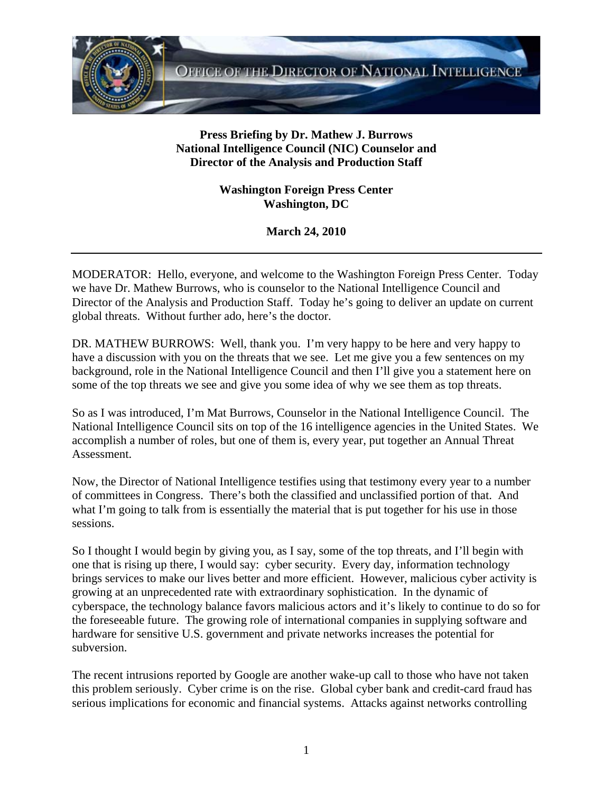

## **Press Briefing by Dr. Mathew J. Burrows National Intelligence Council (NIC) Counselor and Director of the Analysis and Production Staff**

**Washington Foreign Press Center Washington, DC** 

**March 24, 2010** 

MODERATOR: Hello, everyone, and welcome to the Washington Foreign Press Center. Today we have Dr. Mathew Burrows, who is counselor to the National Intelligence Council and Director of the Analysis and Production Staff. Today he's going to deliver an update on current global threats. Without further ado, here's the doctor.

DR. MATHEW BURROWS: Well, thank you. I'm very happy to be here and very happy to have a discussion with you on the threats that we see. Let me give you a few sentences on my background, role in the National Intelligence Council and then I'll give you a statement here on some of the top threats we see and give you some idea of why we see them as top threats.

So as I was introduced, I'm Mat Burrows, Counselor in the National Intelligence Council. The National Intelligence Council sits on top of the 16 intelligence agencies in the United States. We accomplish a number of roles, but one of them is, every year, put together an Annual Threat Assessment.

Now, the Director of National Intelligence testifies using that testimony every year to a number of committees in Congress. There's both the classified and unclassified portion of that. And what I'm going to talk from is essentially the material that is put together for his use in those sessions.

So I thought I would begin by giving you, as I say, some of the top threats, and I'll begin with one that is rising up there, I would say: cyber security. Every day, information technology brings services to make our lives better and more efficient. However, malicious cyber activity is growing at an unprecedented rate with extraordinary sophistication. In the dynamic of cyberspace, the technology balance favors malicious actors and it's likely to continue to do so for the foreseeable future. The growing role of international companies in supplying software and hardware for sensitive U.S. government and private networks increases the potential for subversion.

The recent intrusions reported by Google are another wake-up call to those who have not taken this problem seriously. Cyber crime is on the rise. Global cyber bank and credit-card fraud has serious implications for economic and financial systems. Attacks against networks controlling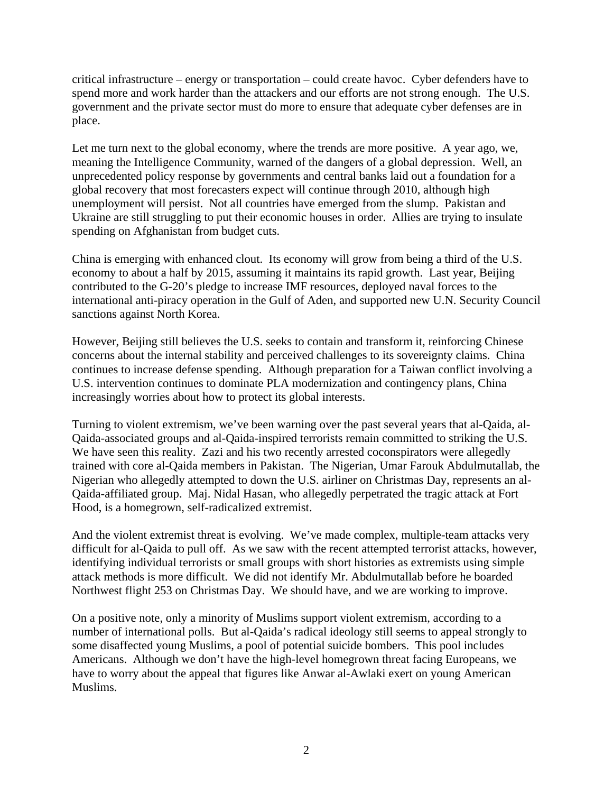critical infrastructure – energy or transportation – could create havoc. Cyber defenders have to spend more and work harder than the attackers and our efforts are not strong enough. The U.S. government and the private sector must do more to ensure that adequate cyber defenses are in place.

Let me turn next to the global economy, where the trends are more positive. A year ago, we, meaning the Intelligence Community, warned of the dangers of a global depression. Well, an unprecedented policy response by governments and central banks laid out a foundation for a global recovery that most forecasters expect will continue through 2010, although high unemployment will persist. Not all countries have emerged from the slump. Pakistan and Ukraine are still struggling to put their economic houses in order. Allies are trying to insulate spending on Afghanistan from budget cuts.

China is emerging with enhanced clout. Its economy will grow from being a third of the U.S. economy to about a half by 2015, assuming it maintains its rapid growth. Last year, Beijing contributed to the G-20's pledge to increase IMF resources, deployed naval forces to the international anti-piracy operation in the Gulf of Aden, and supported new U.N. Security Council sanctions against North Korea.

However, Beijing still believes the U.S. seeks to contain and transform it, reinforcing Chinese concerns about the internal stability and perceived challenges to its sovereignty claims. China continues to increase defense spending. Although preparation for a Taiwan conflict involving a U.S. intervention continues to dominate PLA modernization and contingency plans, China increasingly worries about how to protect its global interests.

Turning to violent extremism, we've been warning over the past several years that al-Qaida, al-Qaida-associated groups and al-Qaida-inspired terrorists remain committed to striking the U.S. We have seen this reality. Zazi and his two recently arrested coconspirators were allegedly trained with core al-Qaida members in Pakistan. The Nigerian, Umar Farouk Abdulmutallab, the Nigerian who allegedly attempted to down the U.S. airliner on Christmas Day, represents an al-Qaida-affiliated group. Maj. Nidal Hasan, who allegedly perpetrated the tragic attack at Fort Hood, is a homegrown, self-radicalized extremist.

And the violent extremist threat is evolving. We've made complex, multiple-team attacks very difficult for al-Qaida to pull off. As we saw with the recent attempted terrorist attacks, however, identifying individual terrorists or small groups with short histories as extremists using simple attack methods is more difficult. We did not identify Mr. Abdulmutallab before he boarded Northwest flight 253 on Christmas Day. We should have, and we are working to improve.

On a positive note, only a minority of Muslims support violent extremism, according to a number of international polls. But al-Qaida's radical ideology still seems to appeal strongly to some disaffected young Muslims, a pool of potential suicide bombers. This pool includes Americans. Although we don't have the high-level homegrown threat facing Europeans, we have to worry about the appeal that figures like Anwar al-Awlaki exert on young American Muslims.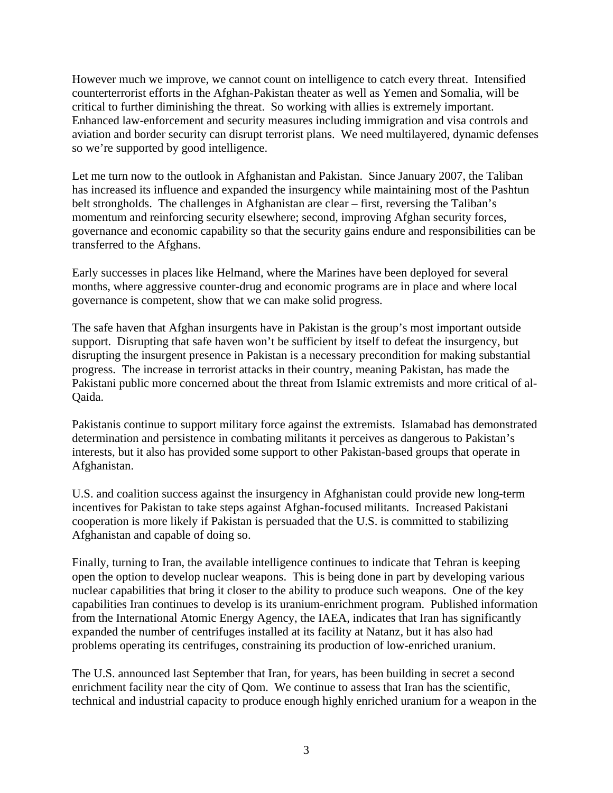However much we improve, we cannot count on intelligence to catch every threat. Intensified counterterrorist efforts in the Afghan-Pakistan theater as well as Yemen and Somalia, will be critical to further diminishing the threat. So working with allies is extremely important. Enhanced law-enforcement and security measures including immigration and visa controls and aviation and border security can disrupt terrorist plans. We need multilayered, dynamic defenses so we're supported by good intelligence.

Let me turn now to the outlook in Afghanistan and Pakistan. Since January 2007, the Taliban has increased its influence and expanded the insurgency while maintaining most of the Pashtun belt strongholds. The challenges in Afghanistan are clear – first, reversing the Taliban's momentum and reinforcing security elsewhere; second, improving Afghan security forces, governance and economic capability so that the security gains endure and responsibilities can be transferred to the Afghans.

Early successes in places like Helmand, where the Marines have been deployed for several months, where aggressive counter-drug and economic programs are in place and where local governance is competent, show that we can make solid progress.

The safe haven that Afghan insurgents have in Pakistan is the group's most important outside support. Disrupting that safe haven won't be sufficient by itself to defeat the insurgency, but disrupting the insurgent presence in Pakistan is a necessary precondition for making substantial progress. The increase in terrorist attacks in their country, meaning Pakistan, has made the Pakistani public more concerned about the threat from Islamic extremists and more critical of al-Qaida.

Pakistanis continue to support military force against the extremists. Islamabad has demonstrated determination and persistence in combating militants it perceives as dangerous to Pakistan's interests, but it also has provided some support to other Pakistan-based groups that operate in Afghanistan.

U.S. and coalition success against the insurgency in Afghanistan could provide new long-term incentives for Pakistan to take steps against Afghan-focused militants. Increased Pakistani cooperation is more likely if Pakistan is persuaded that the U.S. is committed to stabilizing Afghanistan and capable of doing so.

Finally, turning to Iran, the available intelligence continues to indicate that Tehran is keeping open the option to develop nuclear weapons. This is being done in part by developing various nuclear capabilities that bring it closer to the ability to produce such weapons. One of the key capabilities Iran continues to develop is its uranium-enrichment program. Published information from the International Atomic Energy Agency, the IAEA, indicates that Iran has significantly expanded the number of centrifuges installed at its facility at Natanz, but it has also had problems operating its centrifuges, constraining its production of low-enriched uranium.

The U.S. announced last September that Iran, for years, has been building in secret a second enrichment facility near the city of Qom. We continue to assess that Iran has the scientific, technical and industrial capacity to produce enough highly enriched uranium for a weapon in the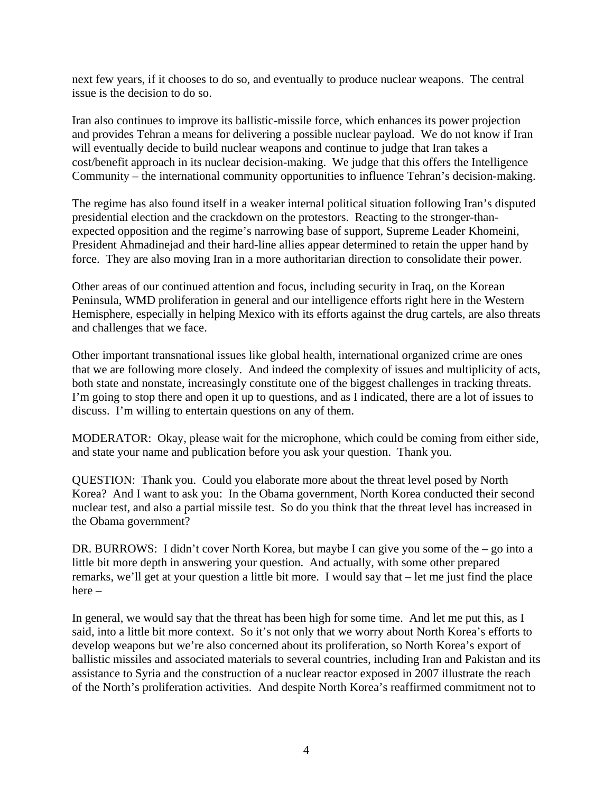next few years, if it chooses to do so, and eventually to produce nuclear weapons. The central issue is the decision to do so.

Iran also continues to improve its ballistic-missile force, which enhances its power projection and provides Tehran a means for delivering a possible nuclear payload. We do not know if Iran will eventually decide to build nuclear weapons and continue to judge that Iran takes a cost/benefit approach in its nuclear decision-making. We judge that this offers the Intelligence Community – the international community opportunities to influence Tehran's decision-making.

The regime has also found itself in a weaker internal political situation following Iran's disputed presidential election and the crackdown on the protestors. Reacting to the stronger-thanexpected opposition and the regime's narrowing base of support, Supreme Leader Khomeini, President Ahmadinejad and their hard-line allies appear determined to retain the upper hand by force. They are also moving Iran in a more authoritarian direction to consolidate their power.

Other areas of our continued attention and focus, including security in Iraq, on the Korean Peninsula, WMD proliferation in general and our intelligence efforts right here in the Western Hemisphere, especially in helping Mexico with its efforts against the drug cartels, are also threats and challenges that we face.

Other important transnational issues like global health, international organized crime are ones that we are following more closely. And indeed the complexity of issues and multiplicity of acts, both state and nonstate, increasingly constitute one of the biggest challenges in tracking threats. I'm going to stop there and open it up to questions, and as I indicated, there are a lot of issues to discuss. I'm willing to entertain questions on any of them.

MODERATOR: Okay, please wait for the microphone, which could be coming from either side, and state your name and publication before you ask your question. Thank you.

QUESTION: Thank you. Could you elaborate more about the threat level posed by North Korea? And I want to ask you: In the Obama government, North Korea conducted their second nuclear test, and also a partial missile test. So do you think that the threat level has increased in the Obama government?

DR. BURROWS: I didn't cover North Korea, but maybe I can give you some of the – go into a little bit more depth in answering your question. And actually, with some other prepared remarks, we'll get at your question a little bit more. I would say that – let me just find the place here –

In general, we would say that the threat has been high for some time. And let me put this, as I said, into a little bit more context. So it's not only that we worry about North Korea's efforts to develop weapons but we're also concerned about its proliferation, so North Korea's export of ballistic missiles and associated materials to several countries, including Iran and Pakistan and its assistance to Syria and the construction of a nuclear reactor exposed in 2007 illustrate the reach of the North's proliferation activities. And despite North Korea's reaffirmed commitment not to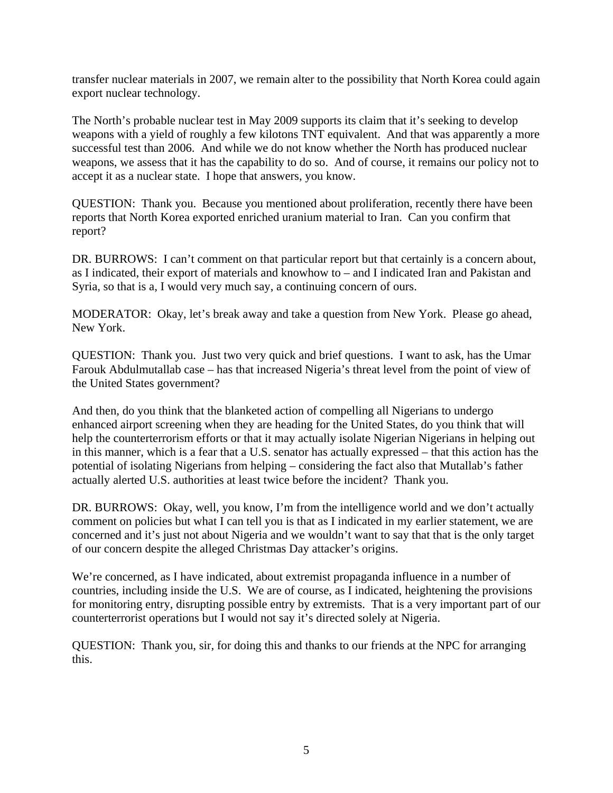transfer nuclear materials in 2007, we remain alter to the possibility that North Korea could again export nuclear technology.

The North's probable nuclear test in May 2009 supports its claim that it's seeking to develop weapons with a yield of roughly a few kilotons TNT equivalent. And that was apparently a more successful test than 2006. And while we do not know whether the North has produced nuclear weapons, we assess that it has the capability to do so. And of course, it remains our policy not to accept it as a nuclear state. I hope that answers, you know.

QUESTION: Thank you. Because you mentioned about proliferation, recently there have been reports that North Korea exported enriched uranium material to Iran. Can you confirm that report?

DR. BURROWS: I can't comment on that particular report but that certainly is a concern about, as I indicated, their export of materials and knowhow to – and I indicated Iran and Pakistan and Syria, so that is a, I would very much say, a continuing concern of ours.

MODERATOR: Okay, let's break away and take a question from New York. Please go ahead, New York.

QUESTION: Thank you. Just two very quick and brief questions. I want to ask, has the Umar Farouk Abdulmutallab case – has that increased Nigeria's threat level from the point of view of the United States government?

And then, do you think that the blanketed action of compelling all Nigerians to undergo enhanced airport screening when they are heading for the United States, do you think that will help the counterterrorism efforts or that it may actually isolate Nigerian Nigerians in helping out in this manner, which is a fear that a U.S. senator has actually expressed – that this action has the potential of isolating Nigerians from helping – considering the fact also that Mutallab's father actually alerted U.S. authorities at least twice before the incident? Thank you.

DR. BURROWS: Okay, well, you know, I'm from the intelligence world and we don't actually comment on policies but what I can tell you is that as I indicated in my earlier statement, we are concerned and it's just not about Nigeria and we wouldn't want to say that that is the only target of our concern despite the alleged Christmas Day attacker's origins.

We're concerned, as I have indicated, about extremist propaganda influence in a number of countries, including inside the U.S. We are of course, as I indicated, heightening the provisions for monitoring entry, disrupting possible entry by extremists. That is a very important part of our counterterrorist operations but I would not say it's directed solely at Nigeria.

QUESTION: Thank you, sir, for doing this and thanks to our friends at the NPC for arranging this.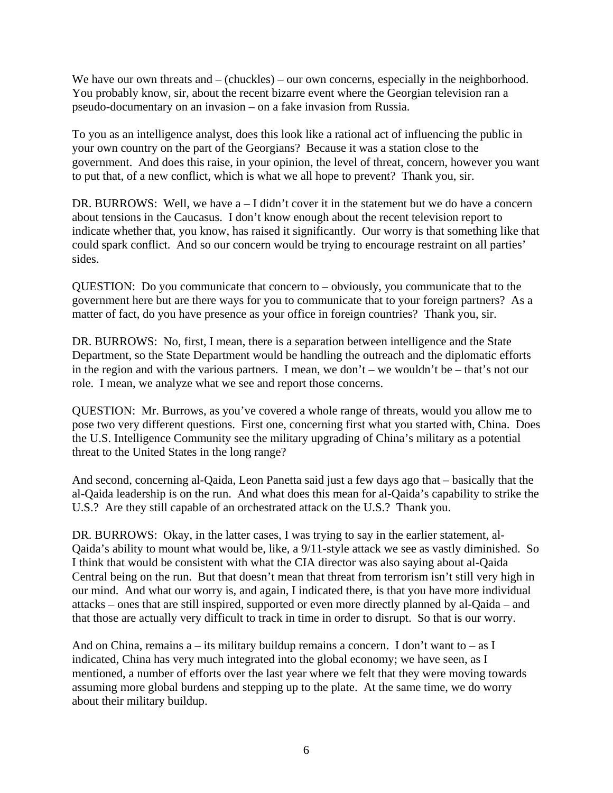We have our own threats and – (chuckles) – our own concerns, especially in the neighborhood. You probably know, sir, about the recent bizarre event where the Georgian television ran a pseudo-documentary on an invasion – on a fake invasion from Russia.

To you as an intelligence analyst, does this look like a rational act of influencing the public in your own country on the part of the Georgians? Because it was a station close to the government. And does this raise, in your opinion, the level of threat, concern, however you want to put that, of a new conflict, which is what we all hope to prevent? Thank you, sir.

DR. BURROWS: Well, we have a – I didn't cover it in the statement but we do have a concern about tensions in the Caucasus. I don't know enough about the recent television report to indicate whether that, you know, has raised it significantly. Our worry is that something like that could spark conflict. And so our concern would be trying to encourage restraint on all parties' sides.

QUESTION: Do you communicate that concern to – obviously, you communicate that to the government here but are there ways for you to communicate that to your foreign partners? As a matter of fact, do you have presence as your office in foreign countries? Thank you, sir.

DR. BURROWS: No, first, I mean, there is a separation between intelligence and the State Department, so the State Department would be handling the outreach and the diplomatic efforts in the region and with the various partners. I mean, we don't – we wouldn't be – that's not our role. I mean, we analyze what we see and report those concerns.

QUESTION: Mr. Burrows, as you've covered a whole range of threats, would you allow me to pose two very different questions. First one, concerning first what you started with, China. Does the U.S. Intelligence Community see the military upgrading of China's military as a potential threat to the United States in the long range?

And second, concerning al-Qaida, Leon Panetta said just a few days ago that – basically that the al-Qaida leadership is on the run. And what does this mean for al-Qaida's capability to strike the U.S.? Are they still capable of an orchestrated attack on the U.S.? Thank you.

DR. BURROWS: Okay, in the latter cases, I was trying to say in the earlier statement, al-Qaida's ability to mount what would be, like, a 9/11-style attack we see as vastly diminished. So I think that would be consistent with what the CIA director was also saying about al-Qaida Central being on the run. But that doesn't mean that threat from terrorism isn't still very high in our mind. And what our worry is, and again, I indicated there, is that you have more individual attacks – ones that are still inspired, supported or even more directly planned by al-Qaida – and that those are actually very difficult to track in time in order to disrupt. So that is our worry.

And on China, remains  $a -$  its military buildup remains a concern. I don't want to  $-$  as I indicated, China has very much integrated into the global economy; we have seen, as I mentioned, a number of efforts over the last year where we felt that they were moving towards assuming more global burdens and stepping up to the plate. At the same time, we do worry about their military buildup.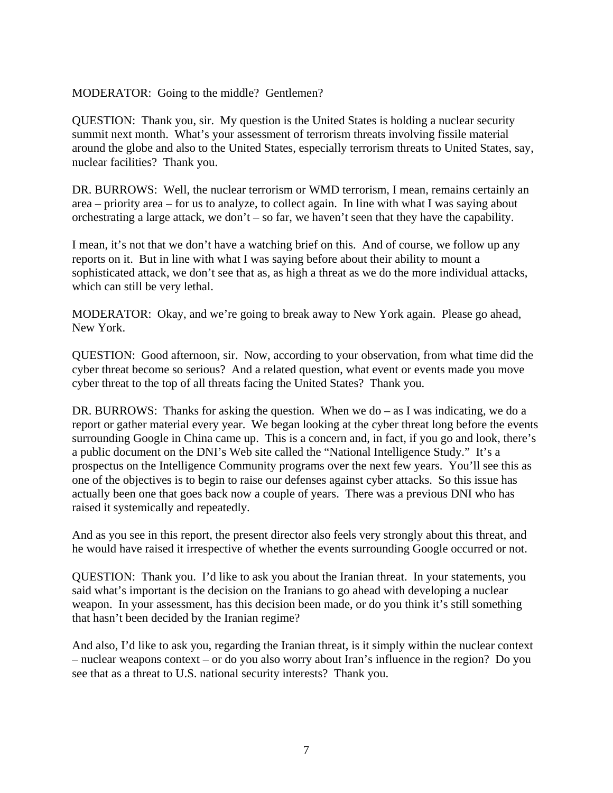## MODERATOR: Going to the middle? Gentlemen?

QUESTION: Thank you, sir. My question is the United States is holding a nuclear security summit next month. What's your assessment of terrorism threats involving fissile material around the globe and also to the United States, especially terrorism threats to United States, say, nuclear facilities? Thank you.

DR. BURROWS: Well, the nuclear terrorism or WMD terrorism, I mean, remains certainly an area – priority area – for us to analyze, to collect again. In line with what I was saying about orchestrating a large attack, we don't – so far, we haven't seen that they have the capability.

I mean, it's not that we don't have a watching brief on this. And of course, we follow up any reports on it. But in line with what I was saying before about their ability to mount a sophisticated attack, we don't see that as, as high a threat as we do the more individual attacks, which can still be very lethal.

MODERATOR: Okay, and we're going to break away to New York again. Please go ahead, New York.

QUESTION: Good afternoon, sir. Now, according to your observation, from what time did the cyber threat become so serious? And a related question, what event or events made you move cyber threat to the top of all threats facing the United States? Thank you.

DR. BURROWS: Thanks for asking the question. When we do – as I was indicating, we do a report or gather material every year. We began looking at the cyber threat long before the events surrounding Google in China came up. This is a concern and, in fact, if you go and look, there's a public document on the DNI's Web site called the "National Intelligence Study." It's a prospectus on the Intelligence Community programs over the next few years. You'll see this as one of the objectives is to begin to raise our defenses against cyber attacks. So this issue has actually been one that goes back now a couple of years. There was a previous DNI who has raised it systemically and repeatedly.

And as you see in this report, the present director also feels very strongly about this threat, and he would have raised it irrespective of whether the events surrounding Google occurred or not.

QUESTION: Thank you. I'd like to ask you about the Iranian threat. In your statements, you said what's important is the decision on the Iranians to go ahead with developing a nuclear weapon. In your assessment, has this decision been made, or do you think it's still something that hasn't been decided by the Iranian regime?

And also, I'd like to ask you, regarding the Iranian threat, is it simply within the nuclear context – nuclear weapons context – or do you also worry about Iran's influence in the region? Do you see that as a threat to U.S. national security interests? Thank you.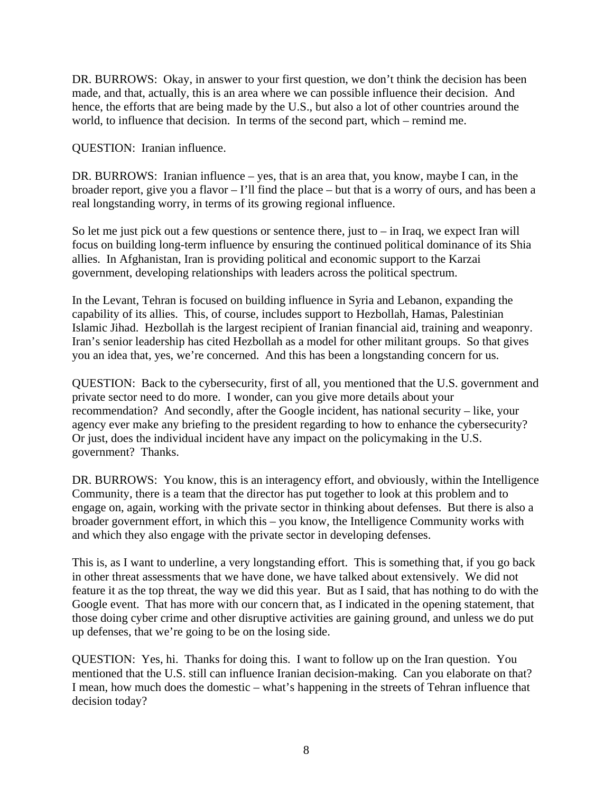DR. BURROWS: Okay, in answer to your first question, we don't think the decision has been made, and that, actually, this is an area where we can possible influence their decision. And hence, the efforts that are being made by the U.S., but also a lot of other countries around the world, to influence that decision. In terms of the second part, which – remind me.

QUESTION: Iranian influence.

DR. BURROWS: Iranian influence – yes, that is an area that, you know, maybe I can, in the broader report, give you a flavor – I'll find the place – but that is a worry of ours, and has been a real longstanding worry, in terms of its growing regional influence.

So let me just pick out a few questions or sentence there, just to  $-$  in Iraq, we expect Iran will focus on building long-term influence by ensuring the continued political dominance of its Shia allies. In Afghanistan, Iran is providing political and economic support to the Karzai government, developing relationships with leaders across the political spectrum.

In the Levant, Tehran is focused on building influence in Syria and Lebanon, expanding the capability of its allies. This, of course, includes support to Hezbollah, Hamas, Palestinian Islamic Jihad. Hezbollah is the largest recipient of Iranian financial aid, training and weaponry. Iran's senior leadership has cited Hezbollah as a model for other militant groups. So that gives you an idea that, yes, we're concerned. And this has been a longstanding concern for us.

QUESTION: Back to the cybersecurity, first of all, you mentioned that the U.S. government and private sector need to do more. I wonder, can you give more details about your recommendation? And secondly, after the Google incident, has national security – like, your agency ever make any briefing to the president regarding to how to enhance the cybersecurity? Or just, does the individual incident have any impact on the policymaking in the U.S. government? Thanks.

DR. BURROWS: You know, this is an interagency effort, and obviously, within the Intelligence Community, there is a team that the director has put together to look at this problem and to engage on, again, working with the private sector in thinking about defenses. But there is also a broader government effort, in which this – you know, the Intelligence Community works with and which they also engage with the private sector in developing defenses.

This is, as I want to underline, a very longstanding effort. This is something that, if you go back in other threat assessments that we have done, we have talked about extensively. We did not feature it as the top threat, the way we did this year. But as I said, that has nothing to do with the Google event. That has more with our concern that, as I indicated in the opening statement, that those doing cyber crime and other disruptive activities are gaining ground, and unless we do put up defenses, that we're going to be on the losing side.

QUESTION: Yes, hi. Thanks for doing this. I want to follow up on the Iran question. You mentioned that the U.S. still can influence Iranian decision-making. Can you elaborate on that? I mean, how much does the domestic – what's happening in the streets of Tehran influence that decision today?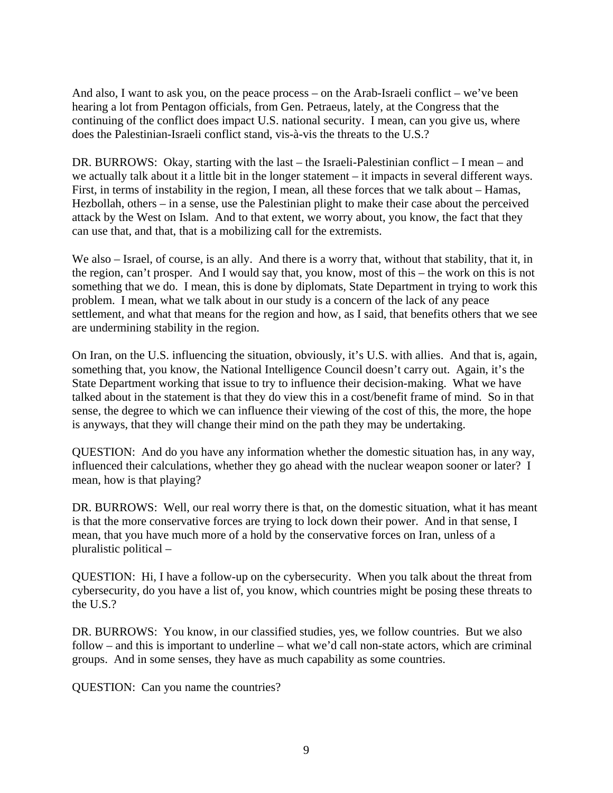And also, I want to ask you, on the peace process – on the Arab-Israeli conflict – we've been hearing a lot from Pentagon officials, from Gen. Petraeus, lately, at the Congress that the continuing of the conflict does impact U.S. national security. I mean, can you give us, where does the Palestinian-Israeli conflict stand, vis-à-vis the threats to the U.S.?

DR. BURROWS: Okay, starting with the last – the Israeli-Palestinian conflict – I mean – and we actually talk about it a little bit in the longer statement – it impacts in several different ways. First, in terms of instability in the region, I mean, all these forces that we talk about – Hamas, Hezbollah, others – in a sense, use the Palestinian plight to make their case about the perceived attack by the West on Islam. And to that extent, we worry about, you know, the fact that they can use that, and that, that is a mobilizing call for the extremists.

We also – Israel, of course, is an ally. And there is a worry that, without that stability, that it, in the region, can't prosper. And I would say that, you know, most of this – the work on this is not something that we do. I mean, this is done by diplomats, State Department in trying to work this problem. I mean, what we talk about in our study is a concern of the lack of any peace settlement, and what that means for the region and how, as I said, that benefits others that we see are undermining stability in the region.

On Iran, on the U.S. influencing the situation, obviously, it's U.S. with allies. And that is, again, something that, you know, the National Intelligence Council doesn't carry out. Again, it's the State Department working that issue to try to influence their decision-making. What we have talked about in the statement is that they do view this in a cost/benefit frame of mind. So in that sense, the degree to which we can influence their viewing of the cost of this, the more, the hope is anyways, that they will change their mind on the path they may be undertaking.

QUESTION: And do you have any information whether the domestic situation has, in any way, influenced their calculations, whether they go ahead with the nuclear weapon sooner or later? I mean, how is that playing?

DR. BURROWS: Well, our real worry there is that, on the domestic situation, what it has meant is that the more conservative forces are trying to lock down their power. And in that sense, I mean, that you have much more of a hold by the conservative forces on Iran, unless of a pluralistic political –

QUESTION: Hi, I have a follow-up on the cybersecurity. When you talk about the threat from cybersecurity, do you have a list of, you know, which countries might be posing these threats to the U.S.?

DR. BURROWS: You know, in our classified studies, yes, we follow countries. But we also follow – and this is important to underline – what we'd call non-state actors, which are criminal groups. And in some senses, they have as much capability as some countries.

QUESTION: Can you name the countries?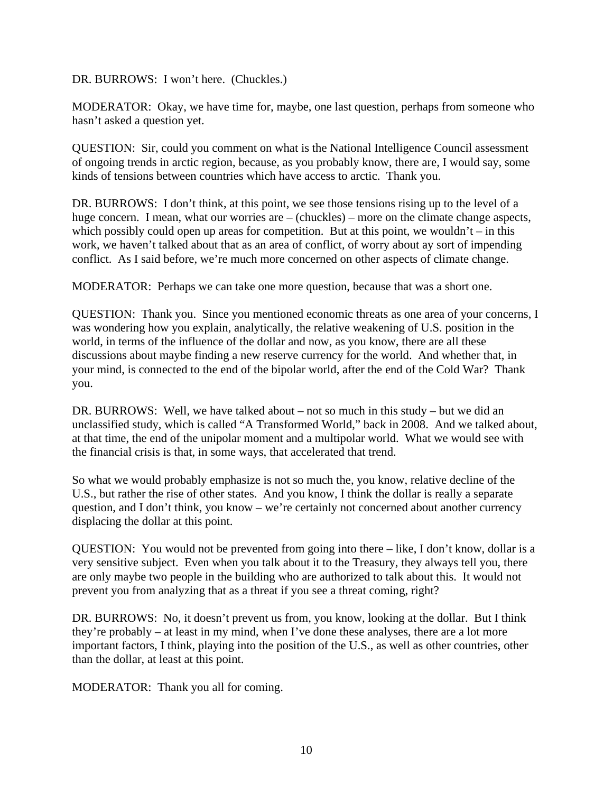DR. BURROWS: I won't here. (Chuckles.)

MODERATOR: Okay, we have time for, maybe, one last question, perhaps from someone who hasn't asked a question yet.

QUESTION: Sir, could you comment on what is the National Intelligence Council assessment of ongoing trends in arctic region, because, as you probably know, there are, I would say, some kinds of tensions between countries which have access to arctic. Thank you.

DR. BURROWS: I don't think, at this point, we see those tensions rising up to the level of a huge concern. I mean, what our worries are – (chuckles) – more on the climate change aspects, which possibly could open up areas for competition. But at this point, we wouldn't – in this work, we haven't talked about that as an area of conflict, of worry about ay sort of impending conflict. As I said before, we're much more concerned on other aspects of climate change.

MODERATOR: Perhaps we can take one more question, because that was a short one.

QUESTION: Thank you. Since you mentioned economic threats as one area of your concerns, I was wondering how you explain, analytically, the relative weakening of U.S. position in the world, in terms of the influence of the dollar and now, as you know, there are all these discussions about maybe finding a new reserve currency for the world. And whether that, in your mind, is connected to the end of the bipolar world, after the end of the Cold War? Thank you.

DR. BURROWS: Well, we have talked about – not so much in this study – but we did an unclassified study, which is called "A Transformed World," back in 2008. And we talked about, at that time, the end of the unipolar moment and a multipolar world. What we would see with the financial crisis is that, in some ways, that accelerated that trend.

So what we would probably emphasize is not so much the, you know, relative decline of the U.S., but rather the rise of other states. And you know, I think the dollar is really a separate question, and I don't think, you know – we're certainly not concerned about another currency displacing the dollar at this point.

QUESTION: You would not be prevented from going into there – like, I don't know, dollar is a very sensitive subject. Even when you talk about it to the Treasury, they always tell you, there are only maybe two people in the building who are authorized to talk about this. It would not prevent you from analyzing that as a threat if you see a threat coming, right?

DR. BURROWS: No, it doesn't prevent us from, you know, looking at the dollar. But I think they're probably – at least in my mind, when I've done these analyses, there are a lot more important factors, I think, playing into the position of the U.S., as well as other countries, other than the dollar, at least at this point.

MODERATOR: Thank you all for coming.